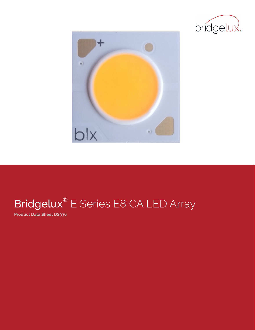



# Bridgelux<sup>®</sup> E Series E8 CA LED Array

**Product Data Sheet DS336**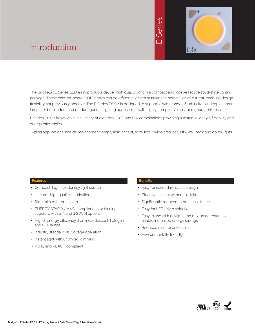

# Introduction

The Bridgelux E Series LED array products deliver high quality light in a compact and cost-effective solid-state lighting package. These chip-on-board (COB) arrays can be efficiently driven at twice the nominal drive current, enabling design flexibility not previously possible. The E Series E8 CA is designed to support a wide range of luminaires and replacement lamps for both indoor and outdoor general lighting applications with highly competitive cost and good performance.

E Series E8 CA is available in a variety of electrical, CCT and CRI combinations providing substantial design flexibility and energy efficiencies.

Typical applications include replacement lamps, task, accent, spot, track, wide area, security, wall pack and down lights.

### **Features**

- Compact, high flux density light source
- Uniform, high quality illumination
- Streamlined thermal path
- ENERGY STAR® / ANSI compliant color binning structure with 2, 3 and 4 SDCM options
- Higher energy efficiency than incandescent, halogen and CFL lamps
- Industry standard DC voltage operation
- Instant light with unlimited dimming
- RoHS and REACH compliant

#### **Benefits**

- Easy for secondary optics design
- Clean white light without pixilation
- Significantly reduced thermal resistance
- Easy for LED driver selection
- Easy to use with daylight and motion detectors to enable increased energy savings
- Reduced maintenance costs
- Environmentally friendly

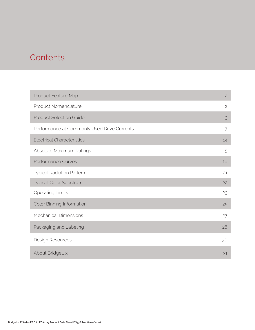# **Contents**

| Product Feature Map                         | $\overline{c}$ |
|---------------------------------------------|----------------|
| <b>Product Nomenclature</b>                 | $\mathbf{2}$   |
| <b>Product Selection Guide</b>              | 3              |
| Performance at Commonly Used Drive Currents | $\overline{7}$ |
| <b>Electrical Characteristics</b>           | 14             |
| Absolute Maximum Ratings                    | 15             |
| <b>Performance Curves</b>                   | 16             |
| <b>Typical Radiation Pattern</b>            | 21             |
| <b>Typical Color Spectrum</b>               | 22             |
| <b>Operating Limits</b>                     | 23             |
| <b>Color Binning Information</b>            | 25             |
| <b>Mechanical Dimensions</b>                | 27             |
| Packaging and Labeling                      | 28             |
| Design Resources                            | 30             |
| About Bridgelux                             | 31             |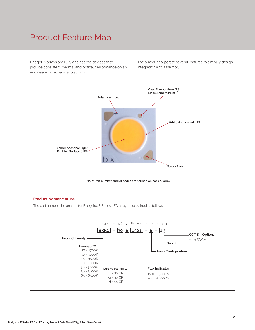## Product Feature Map

Bridgelux arrays are fully engineered devices that provide consistent thermal and optical performance on an engineered mechanical platform.

The arrays incorporate several features to simplify design integration and assembly.





#### **Product Nomenclature**

The part number designation for Bridgelux E Series LED arrays is explained as follows:

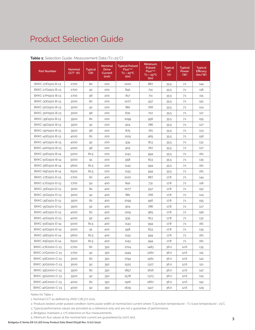| <b>Part Number</b> | Nominal<br>$CCT1$ (K) | <b>Typical</b><br><b>CRI</b> | <b>Nominal</b><br><b>Drive</b><br>Current<br>(mA) | <b>Typical Pulsed</b><br>Flux <sup>2,3.4</sup><br>$Tc = 25^{\circ}C$<br>(lm) | Minimum<br><b>Pulsed</b><br>Flux <sup>2,4,5</sup><br>$Tc = 25^{\circ}C$<br>(lm) | <b>Typical</b><br>Vf<br>(V) | <b>Typical</b><br>Power<br>(W) | <b>Typical</b><br>Efficacy<br>$\frac{1}{2}$ |
|--------------------|-----------------------|------------------------------|---------------------------------------------------|------------------------------------------------------------------------------|---------------------------------------------------------------------------------|-----------------------------|--------------------------------|---------------------------------------------|
| BXKC-27E1501-B-13  | 2700                  | 82                           | 200                                               | 1020                                                                         | 887                                                                             | 35.5                        | 7.1                            | 144                                         |
| BXKC-27G1501-B-13  | 2700                  | 92                           | 200                                               | 840                                                                          | 731                                                                             | 35.5                        | 7.1                            | 118                                         |
| BXKC-27H1501-B-13  | 2700                  | 96                           | 200                                               | 817                                                                          | 711                                                                             | 35.5                        | 7.1                            | 115                                         |
| BXKC-30E1501-B-13  | 3000                  | 82                           | 200                                               | 1077                                                                         | 937                                                                             | 35.5                        | 7.1                            | 152                                         |
| BXKC-30G1501-B-13  | 3000                  | 92                           | 200                                               | 881                                                                          | 766                                                                             | 35.5                        | 7.1                            | 124                                         |
| BXKC-30H1501-B-13  | 3000                  | 96                           | 200                                               | 830                                                                          | 722                                                                             | 35.5                        | 7.1                            | 117                                         |
| BXKC-35E1501-B-13  | 3500                  | 82                           | 200                                               | 1099                                                                         | 956                                                                             | 35.5                        | 7.1                            | 155                                         |
| BXKC-35G1501-B-13  | 3500                  | 92                           | 200                                               | 904                                                                          | 786                                                                             | 35.5                        | 7.1                            | 127                                         |
| BXKC-35H1501-B-13  | 3500                  | 96                           | 200                                               | 875                                                                          | 761                                                                             | 35.5                        | 7.1                            | 123                                         |
| BXKC-40E1501-B-13  | 4000                  | 82                           | 200                                               | 1109                                                                         | 965                                                                             | 35.5                        | 7.1                            | 156                                         |
| BXKC-40G1501-B-13  | 4000                  | 92                           | 200                                               | 935                                                                          | 813                                                                             | 35.5                        | 7.1                            | 132                                         |
| BXKC-40H1501-B-13  | 4000                  | 96                           | 200                                               | 905                                                                          | 787                                                                             | 35.5                        | 7.1                            | 127                                         |
| BXKC-50E1501-B-14  | 5000                  | 81.5                         | 200                                               | 1143                                                                         | 994                                                                             | 35.5                        | 7.1                            | 161                                         |
| BXKC-50G1501-B-14  | 5000                  | 91                           | 200                                               | 958                                                                          | 833                                                                             | 35.5                        | 7.1                            | 135                                         |
| BXKC-56E1501-B-14  | 5600                  | 81.5                         | 200                                               | 1143                                                                         | 994                                                                             | 35.5                        | 7.1                            | 161                                         |
| BXKC-65E1501-B-14  | 6500                  | 81.5                         | 200                                               | 1143                                                                         | 994                                                                             | 35.5                        | 7.1                            | 161                                         |
| BXKC-27E1501-D-13  | 2700                  | 82                           | 400                                               | 1020                                                                         | 887                                                                             | 17.8                        | 7.1                            | 144                                         |
| BXKC-27G1501-D-13  | 2700                  | 92                           | 400                                               | 840                                                                          | 731                                                                             | 17.8                        | 7.1                            | 118                                         |
| BXKC-30E1501-D-13  | 3000                  | 82                           | 400                                               | 1077                                                                         | 937                                                                             | 17.8                        | 7.1                            | 152                                         |
| BXKC-30G1501-D-13  | 3000                  | 92                           | 400                                               | 881                                                                          | 766                                                                             | 17.8                        | 7.1                            | 124                                         |
| BXKC-35E1501-D-13  | 3500                  | 82                           | 400                                               | 1099                                                                         | 956                                                                             | 17.8                        | 7.1                            | 155                                         |
| BXKC-35G1501-D-13  | 3500                  | 92                           | 400                                               | 904                                                                          | 786                                                                             | 17.8                        | 7.1                            | 127                                         |
| BXKC-40E1501-D-13  | 4000                  | 82                           | 400                                               | 1109                                                                         | 965                                                                             | 17.8                        | 7.1                            | 156                                         |
| BXKC-40G1501-D-13  | 4000                  | 92                           | 400                                               | 935                                                                          | 813                                                                             | 17.8                        | 7.1                            | 132                                         |
| BXKC-50E1501-D-14  | 5000                  | 81.5                         | 400                                               | 1143                                                                         | 994                                                                             | 17.8                        | 7.1                            | 161                                         |
| BXKC-50G1501-D-14  | 5000                  | 91                           | 400                                               | 958                                                                          | 833                                                                             | 17.8                        | 7.1                            | 135                                         |
| BXKC-56E1501-D-14  | 5600                  | 81.5                         | 400                                               | 1143                                                                         | 994                                                                             | 17.8                        | 7.1                            | 161                                         |
| BXKC-65E1501-D-14  | 6500                  | 81.5                         | 400                                               | 1143                                                                         | 994                                                                             | 17.8                        | 7.1                            | 161                                         |
| BXKC-27E2000-C-13  | 2700                  | 82                           | 350                                               | 1704                                                                         | 1483                                                                            | 36.0                        | 12.6                           | 135                                         |
| BXKC-27G2000-C-13  | 2700                  | 92                           | 350                                               | 1449                                                                         | 1260                                                                            | 36.0                        | 12.6                           | 115                                         |
| BXKC-30E2000-C-13  | 3000                  | 82                           | 350                                               | 1794                                                                         | 1561                                                                            | 36.0                        | 12.6                           | 142                                         |
| BXKC-30G2000-C-13  | 3000                  | 92                           | 350                                               | 1525                                                                         | 1327                                                                            | 36.0                        | 12.6                           | 121                                         |
| BXKC-35E2000-C-13  | 3500                  | 82                           | 350                                               | 1857                                                                         | 1616                                                                            | 36.0                        | 12.6                           | 147                                         |
| BXKC-35G2000-C-13  | 3500                  | 92                           | 350                                               | 1578                                                                         | 1373                                                                            | 36.0                        | 12.6                           | 125                                         |
| BXKC-40E2000-C-13  | 4000                  | 82                           | 350                                               | 1916                                                                         | 1667                                                                            | 36.0                        | 12.6                           | 152                                         |
| BXKC-40G2000-C-13  | 4000                  | 92                           | 350                                               | 1629                                                                         | 1417                                                                            | 36.0                        | 12.6                           | 129                                         |

#### **Table 1:** Selection Guide, Measurement Data (Tc=25°C)

Notes for Table 1:

1. Nominal CCT as defined by ANSI C78.377-2011.

2. Products tested under pulsed condition (10ms pulse width) at nominal test current where Tj (junction temperature) = Tc (case temperature) = 25°C.

3. Typical performance values are provided as a reference only and are not a guarantee of performance.

4. Bridgelux maintains a ±7% tolerance on flux measurements.

5. Minimum flux values at the nominal test current are guaranteed by 100% test. **3**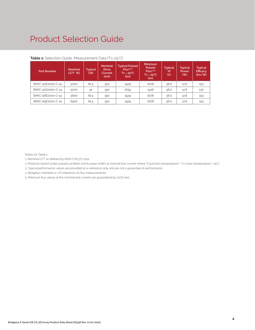| <b>Part Number</b> | Nominal<br>$CCT1$ (K) | Typical<br>CRI | <b>Nominal</b><br><b>Drive</b><br>Current<br>(mA) | <b>Typical Pulsed</b><br>Flux <sup>2,3,4</sup><br>$Tc = 25^{\circ}C$<br>(lm) | <b>Minimum</b><br>Pulsed<br>Flux <sup>2,4.5</sup><br>$Tc = 25^{\circ}C$<br>(lm) | <b>Typical</b><br>Vf<br>(V) | <b>Typical</b><br>Power<br>$($ W $)$ | <b>Typical</b><br>Efficacy<br>$\frac{\text{Im}}{\text{W}}$ |
|--------------------|-----------------------|----------------|---------------------------------------------------|------------------------------------------------------------------------------|---------------------------------------------------------------------------------|-----------------------------|--------------------------------------|------------------------------------------------------------|
| BXKC-50E2000-C-14  | 5000                  | 81.5           | 350                                               | 1929                                                                         | 1678                                                                            | 36.0                        | 12.6                                 | 153                                                        |
| BXKC-50G2000-C-14  | 5000                  | 91             | 350                                               | 1639                                                                         | 1426                                                                            | 36.0                        | 12.6                                 | 130                                                        |
| BXKC-56E2000-C-14  | 5600                  | 81.5           | 350                                               | 1929                                                                         | 1678                                                                            | 36.0                        | 12.6                                 | 153                                                        |
| BXKC-65E2000-C-14  | 6500                  | 81.5           | 350                                               | 1929                                                                         | 1678                                                                            | 36.0                        | 12.6                                 | 153                                                        |

### **Table 1:** Selection Guide, Measurement Data (Tc=25°C)

Notes for Table 1:

- 1. Nominal CCT as defined by ANSI C78.377-2011.
- 2. Products tested under pulsed condition (10ms pulse width) at nominal test current where Tj (junction temperature) = Tc (case temperature) = 25°C.
- 3. Typical performance values are provided as a reference only and are not a guarantee of performance.
- 4. Bridgelux maintains a ±7% tolerance on flux measurements.
- 5. Minimum flux values at the nominal test current are guaranteed by 100% test.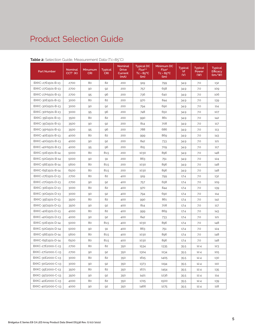| <b>Part Number</b> | <b>Nominal</b><br>$CCT1$ (K) | Minumum<br><b>CRI</b> | <b>Typical</b><br><b>CRI</b> | <b>Nominal</b><br><b>Drive</b><br>Current<br>(mA) | <b>Typical DC</b><br>Flux <sup>2,3</sup><br>$Tc = 85^{\circ}C$<br>(lm) | Minimum DC<br>Flux <sup>4</sup><br>$Tc = 85^{\circ}C$<br>(lm) | <b>Typical</b><br>Vf<br>(V) | <b>Typical</b><br>Power<br>(W) | <b>Typical</b><br><b>Efficacy</b><br>$\frac{1}{2}$ |
|--------------------|------------------------------|-----------------------|------------------------------|---------------------------------------------------|------------------------------------------------------------------------|---------------------------------------------------------------|-----------------------------|--------------------------------|----------------------------------------------------|
| BXKC-27E1501-B-13  | 2700                         | 80                    | 82                           | 200                                               | 919                                                                    | 799                                                           | 34.9                        | 7.0                            | 132                                                |
| BXKC-27G1501-B-13  | 2700                         | 90                    | 92                           | 200                                               | 757                                                                    | 658                                                           | 34.9                        | 7.0                            | 109                                                |
| BXKC-27H1501-B-13  | 2700                         | 95                    | 96                           | 200                                               | 736                                                                    | 640                                                           | 34.9                        | 7.0                            | 106                                                |
| BXKC-30E1501-B-13  | 3000                         | 80                    | 82                           | 200                                               | 970                                                                    | 844                                                           | 34.9                        | 7.0                            | 139                                                |
| BXKC-30G1501-B-13  | 3000                         | 90                    | 92                           | 200                                               | 794                                                                    | 690                                                           | 34.9                        | 7.0                            | 114                                                |
| BXKC-30H1501-B-13  | 3000                         | 95                    | 96                           | 200                                               | 748                                                                    | 650                                                           | 34.9                        | 7.0                            | 107                                                |
| BXKC-35E1501-B-13  | 3500                         | 80                    | 82                           | 200                                               | 990                                                                    | 861                                                           | 34.9                        | 7.0                            | 142                                                |
| BXKC-35G1501-B-13  | 3500                         | 90                    | 92                           | 200                                               | 814                                                                    | 708                                                           | 34.9                        | 7.0                            | 117                                                |
| BXKC-35H1501-B-13  | 3500                         | 95                    | 96                           | 200                                               | 788                                                                    | 686                                                           | 34.9                        | 7.0                            | 113                                                |
| BXKC-40E1501-B-13  | 4000                         | 80                    | 82                           | 200                                               | 999                                                                    | 869                                                           | 34.9                        | 7.0                            | 143                                                |
| BXKC-40G1501-B-13  | 4000                         | 90                    | 92                           | 200                                               | 842                                                                    | 733                                                           | 34.9                        | 7.0                            | 121                                                |
| BXKC-40H1501-B-13  | 4000                         | 95                    | 96                           | 200                                               | 815                                                                    | 709                                                           | 34.9                        | 7.0                            | 117                                                |
| BXKC-50E1501-B-14  | 5000                         | 80                    | 81.5                         | 200                                               | 1030                                                                   | 896                                                           | 34.9                        | 7.0                            | 148                                                |
| BXKC-50G1501-B-14  | 5000                         | 90                    | 91                           | 200                                               | 863                                                                    | 751                                                           | 34.9                        | 7.0                            | 124                                                |
| BXKC-56E1501-B-14  | 5600                         | 80                    | 81.5                         | 200                                               | 1030                                                                   | 896                                                           | 34.9                        | 7.0                            | 148                                                |
| BXKC-65E1501-B-14  | 6500                         | 80                    | 81.5                         | 200                                               | 1030                                                                   | 896                                                           | 34.9                        | 7.0                            | 148                                                |
| BXKC-27E1501-D-13  | 2700                         | 80                    | 82                           | 400                                               | 919                                                                    | 799                                                           | 17.4                        | 7.0                            | 132                                                |
| BXKC-27G1501-D-13  | 2700                         | 90                    | 92                           | 400                                               | 757                                                                    | 658                                                           | 17.4                        | 7.0                            | 109                                                |
| BXKC-30E1501-D-13  | 3000                         | 80                    | 82                           | 400                                               | 970                                                                    | 844                                                           | 17.4                        | 7.0                            | 139                                                |
| BXKC-30G1501-D-13  | 3000                         | 90                    | 92                           | 400                                               | 794                                                                    | 690                                                           | 17.4                        | 7.0                            | 114                                                |
| BXKC-35E1501-D-13  | 3500                         | 80                    | 82                           | 400                                               | 990                                                                    | 861                                                           | 17.4                        | 7.0                            | 142                                                |
| BXKC-35G1501-D-13  | 3500                         | 90                    | 92                           | 400                                               | 814                                                                    | 708                                                           | 17.4                        | 7.0                            | 117                                                |
| BXKC-40E1501-D-13  | 4000                         | 80                    | 82                           | 400                                               | 999                                                                    | 869                                                           | 17.4                        | 7.0                            | 143                                                |
| BXKC-40G1501-D-13  | 4000                         | 90                    | 92                           | 400                                               | 842                                                                    | 733                                                           | 17.4                        | 7.0                            | 121                                                |
| BXKC-50E1501-D-14  | 5000                         | 80                    | 81.5                         | 400                                               | 1030                                                                   | 896                                                           | 17.4                        | 7.0                            | 148                                                |
| BXKC-50G1501-D-14  | 5000                         | 90                    | 91                           | 400                                               | 863                                                                    | 751                                                           | 17.4                        | 7.0                            | 124                                                |
| BXKC-56E1501-D-14  | 5600                         | 80                    | 81.5                         | 400                                               | 1030                                                                   | 896                                                           | 17.4                        | 7.0                            | 148                                                |
| BXKC-65E1501-D-14  | 6500                         | 80                    | 81.5                         | 400                                               | 1030                                                                   | 896                                                           | 17.4                        | 7.0                            | 148                                                |
| BXKC-27E2000-C-13  | 2700                         | 80                    | 82                           | 350                                               | 1534                                                                   | 1335                                                          | 35.5                        | 12.4                           | 123                                                |
| BXKC-27G2000-C-13  | 2700                         | 90                    | 92                           | 350                                               | 1304                                                                   | 1134                                                          | 35.5                        | 12.4                           | 105                                                |
| BXKC-30E2000-C-13  | 3000                         | 80                    | 82                           | 350                                               | 1615                                                                   | 1405                                                          | 35.5                        | 12.4                           | 130                                                |
| BXKC-30G2000-C-13  | 3000                         | 90                    | 92                           | 350                                               | 1373                                                                   | 1194                                                          | 35.5                        | 12.4                           | 110                                                |
| BXKC-35E2000-C-13  | 3500                         | 80                    | 82                           | 350                                               | 1671                                                                   | 1454                                                          | 35.5                        | 12.4                           | 135                                                |
| BXKC-35G2000-C-13  | 3500                         | 90                    | 92                           | 350                                               | 1421                                                                   | 1236                                                          | 35.5                        | 12.4                           | 114                                                |
| BXKC-40E2000-C-13  | 4000                         | 80                    | 82                           | 350                                               | 1725                                                                   | 1500                                                          | 35.5                        | 12.4                           | 139                                                |
| BXKC-40G2000-C-13  | 4000                         | 90                    | 92                           | 350                                               | 1466                                                                   | 1275                                                          | 35.5                        | 12.4                           | 118                                                |

## **Table 2:** Selection Guide, Measurement Data (Tc=85°C)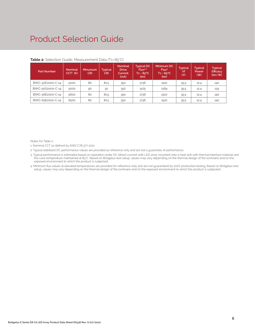| <b>Part Number</b> | Nominal<br>$CCT1$ (K) | Minumum<br><b>CRI</b> | Typical<br><b>CRI</b> | <b>Nominal</b><br><b>Drive</b><br>Current.<br>(mA) | <b>Typical DC</b><br>Flux <sup>2,3</sup><br>$Tc = 85^{\circ}C$<br>(lm) | Minimum DC<br>Flux <sup>4</sup><br>$Tc = 85^{\circ}C$<br>(lm) | <b>Typical</b><br>Vf<br>(V) | <b>Typical</b><br>Power<br>( W ) | <b>Typical</b><br>Efficacy<br>$\frac{1}{2}$ |
|--------------------|-----------------------|-----------------------|-----------------------|----------------------------------------------------|------------------------------------------------------------------------|---------------------------------------------------------------|-----------------------------|----------------------------------|---------------------------------------------|
| BXKC-50E2000-C-14  | 5000                  | 80                    | 81.5                  | 350                                                | 1736                                                                   | 1510                                                          | 35.5                        | 12.4                             | 140                                         |
| BXKC-50G2000-C-14  | 5000                  | 90                    | 91                    | 350                                                | 1475                                                                   | 1284                                                          | 35.5                        | 12.4                             | 119                                         |
| BXKC-56E2000-C-14  | 5600                  | 80                    | 81.5                  | 350                                                | 1736                                                                   | 1510                                                          | 35.5                        | 12.4                             | 140                                         |
| BXKC-65E2000-C-14  | 6500                  | 80                    | 81.5                  | 350                                                | 1736                                                                   | 1510                                                          | 35.5                        | 12.4                             | 140                                         |

#### **Table 2:** Selection Guide, Measurement Data (Tc=85°C)

Notes for Table 2:

1. Nominal CCT as defined by ANSI C78.377-2011.

2. Typical stabilized DC performance values are provided as reference only and are not a guarantee of performance.

3. Typical performance is estimated based on operation under DC (direct current) with LED array mounted onto a heat sink with thermal interface material and the case temperature maintained at 85°C. Based on Bridgelux test setup, values may vary depending on the thermal design of the luminaire and/or the exposed environment to which the product is subjected.

4. Minimum flux values at elevated temperatures are provided for reference only and are not guaranteed by 100% production testing. Based on Bridgelux test setup, values may vary depending on the thermal design of the luminaire and/or the exposed environment to which the product is subjected.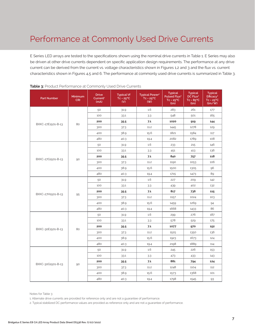E Series LED arrays are tested to the specifications shown using the nominal drive currents in Table 1. E Series may also be driven at other drive currents dependent on specific application design requirements. The performance at any drive current can be derived from the current vs. voltage characteristics shown in Figures 1,2 and 3 and the flux vs. current characteristics shown in Figures 4,5 and 6. The performance at commonly used drive currents is summarized in Table 3.

| <b>Part Number</b> | Minimum<br><b>CRI</b> | <b>Drive</b><br>Current <sup>1</sup><br>(mA) | <b>Typical Vf</b><br>$Tc = 25^{\circ}C$<br>(V) | <b>Typical Power<sup>2</sup></b><br>$Tc = 25^{\circ}C$<br>(W) | <b>Typical</b><br><b>Pulsed Flux<sup>2</sup></b><br>$Tc = 25^{\circ}C$<br>(lm) | <b>Typical</b><br>DC Flux <sup>2</sup><br>$Tc = 85^{\circ}C$<br>(lm) | <b>Typical</b><br>Efficacy <sup>2</sup><br>$Tc = 25^{\circ}C$<br>(lm/W) |
|--------------------|-----------------------|----------------------------------------------|------------------------------------------------|---------------------------------------------------------------|--------------------------------------------------------------------------------|----------------------------------------------------------------------|-------------------------------------------------------------------------|
|                    |                       | 50                                           | 31.9                                           | 1.6                                                           | 283                                                                            | 261                                                                  | 177                                                                     |
|                    |                       | 100                                          | 33.1                                           | 3.3                                                           | 548                                                                            | 501                                                                  | 165                                                                     |
|                    |                       | 200                                          | 35.5                                           | 7.1                                                           | 1020                                                                           | 919                                                                  | 144                                                                     |
| BXKC-27E1501-B-13  | 80                    | 300                                          | 37.3                                           | 11.2                                                          | 1445                                                                           | 1278                                                                 | 129                                                                     |
|                    |                       | 400                                          | 38.9                                           | 15.6                                                          | 1821                                                                           | 1584                                                                 | 117                                                                     |
|                    |                       | 480                                          | 40.3                                           | 19.4                                                          | 2082                                                                           | 1789                                                                 | 108                                                                     |
|                    |                       | 50                                           | 31.9                                           | 1.6                                                           | 233                                                                            | 215                                                                  | 146                                                                     |
|                    |                       | 100                                          | 33.1                                           | 3.3                                                           | 451                                                                            | 413                                                                  | 136                                                                     |
|                    |                       | 200                                          | 35.5                                           | 7.1                                                           | 840                                                                            | 757                                                                  | 118                                                                     |
| BXKC-27G1501-B-13  | 90                    | 300                                          | 37.3                                           | 11.2                                                          | 1190                                                                           | 1053                                                                 | 106                                                                     |
|                    |                       | 400                                          | 38.9                                           | 15.6                                                          | 1500                                                                           | 1305                                                                 | 96                                                                      |
|                    |                       | 480                                          | 40.3                                           | 19.4                                                          | 1715                                                                           | 1473                                                                 | 89                                                                      |
|                    |                       | 50                                           | 31.9                                           | 1.6                                                           | 227                                                                            | 209                                                                  | 142                                                                     |
|                    |                       | 100                                          | 33.1                                           | 3.3                                                           | 439                                                                            | 402                                                                  | 132                                                                     |
|                    |                       | 200                                          | 35.5                                           | 7.1                                                           | 817                                                                            | 736                                                                  | 115                                                                     |
| BXKC-27H1501-B-13  | 95                    | 300                                          | 37.3                                           | 11.2                                                          | 1157                                                                           | 1024                                                                 | 103                                                                     |
|                    |                       | 400                                          | 38.9                                           | 15.6                                                          | 1459                                                                           | 1269                                                                 | 94                                                                      |
|                    |                       | 480                                          | 40.3                                           | 19.4                                                          | 1668                                                                           | 1433                                                                 | 86                                                                      |
|                    |                       | 50                                           | 31.9                                           | 1.6                                                           | 299                                                                            | 276                                                                  | 187                                                                     |
|                    |                       | 100                                          | 33.1                                           | 3.3                                                           | 578                                                                            | 529                                                                  | 175                                                                     |
|                    |                       | 200                                          | 35.5                                           | 7.1                                                           | 1077                                                                           | 970                                                                  | 152                                                                     |
| BXKC-30E1501-B-13  | 80                    | 300                                          | 37.3                                           | 11.2                                                          | 1525                                                                           | 1350                                                                 | 136                                                                     |
|                    |                       | 400                                          | 38.9                                           | 15.6                                                          | 1923                                                                           | 1673                                                                 | 124                                                                     |
|                    |                       | 480                                          | 40.3                                           | 19.4                                                          | 2198                                                                           | 1889                                                                 | 114                                                                     |
|                    |                       | 50                                           | 31.9                                           | 1.6                                                           | 245                                                                            | 226                                                                  | 153                                                                     |
|                    |                       | 100                                          | 33.1                                           | 3.3                                                           | 473                                                                            | 433                                                                  | 143                                                                     |
|                    |                       | 200                                          | 35.5                                           | 7.1                                                           | 881                                                                            | 794                                                                  | 124                                                                     |
| BXKC-30G1501-B-13  | 90                    | 300                                          | 37.3                                           | 11.2                                                          | 1248                                                                           | 1104                                                                 | 112                                                                     |
|                    |                       | 400                                          | 38.9                                           | 15.6                                                          | 1573                                                                           | 1368                                                                 | 101                                                                     |
|                    |                       | 480                                          | 40.3                                           | 19.4                                                          | 1798                                                                           | 1545                                                                 | 93                                                                      |

Notes for Table 3:

1. Alternate drive currents are provided for reference only and are not a guarantee of performance.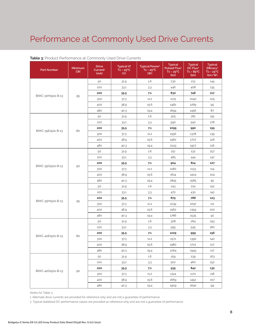| <b>Part Number</b> | Minimum<br><b>CRI</b> | <b>Drive</b><br>Current <sup>1</sup><br>(mA) | <b>Typical Vf</b><br>$Tc = 25^{\circ}C$<br>(V) | <b>Typical Power<sup>2</sup></b><br>$Tc = 25^{\circ}C$<br>(W) | <b>Typical</b><br>Pulsed Flux <sup>2</sup><br>$Tc = 25^{\circ}C$<br>(lm) | <b>Typical</b><br>DC Flux <sup>2</sup><br>$Tc = 85^{\circ}C$<br>(lm) | <b>Typical</b><br>Efficacy <sup>2</sup><br>$Tc = 25^{\circ}C$<br>(lm/W) |
|--------------------|-----------------------|----------------------------------------------|------------------------------------------------|---------------------------------------------------------------|--------------------------------------------------------------------------|----------------------------------------------------------------------|-------------------------------------------------------------------------|
|                    |                       | 50                                           | 31.9                                           | 1.6                                                           | 230                                                                      | 213                                                                  | 144                                                                     |
|                    |                       | 100                                          | 33.1                                           | 3.3                                                           | 446                                                                      | 408                                                                  | 135                                                                     |
|                    |                       | 200                                          | 35.5                                           | 7.1                                                           | 830                                                                      | 748                                                                  | 117                                                                     |
| BXKC-30H1501-B-13  | 95                    | 300                                          | 37.3                                           | 11.2                                                          | 1175                                                                     | 1040                                                                 | 105                                                                     |
|                    |                       | 400                                          | 38.9                                           | 15.6                                                          | 1482                                                                     | 1289                                                                 | 95                                                                      |
|                    |                       | 480                                          | 40.3                                           | 19.4                                                          | 1694                                                                     | 1456                                                                 | 87                                                                      |
|                    |                       | 50                                           | 31.9                                           | 1.6                                                           | 305                                                                      | 281                                                                  | 191                                                                     |
|                    |                       | 100                                          | 33.1                                           | 33                                                            | 590                                                                      | 540                                                                  | 178                                                                     |
|                    |                       | 200                                          | 35.5                                           | 7.1                                                           | 1099                                                                     | 990                                                                  | 155                                                                     |
| BXKC-35E1501-B-13  | 80                    | 300                                          | 37.3                                           | 11.2                                                          | 1556                                                                     | 1378                                                                 | 139                                                                     |
|                    |                       | 400                                          | 38.9                                           | 15.6                                                          | 1962                                                                     | 1707                                                                 | 126                                                                     |
|                    |                       | 480                                          | 40.3                                           | 19.4                                                          | 2243                                                                     | 1927                                                                 | 116                                                                     |
|                    |                       | 50                                           | 31.9                                           | 1.6                                                           | 251                                                                      | 232                                                                  | 157                                                                     |
|                    | 90                    | 100                                          | 33.1                                           | 3.3                                                           | 485                                                                      | 444                                                                  | 147                                                                     |
|                    |                       | 200                                          | 35.5                                           | 7.1                                                           | 904                                                                      | 814                                                                  | 127                                                                     |
| BXKC-35G1501-B-13  |                       | 300                                          | 37.3                                           | 11.2                                                          | 1280                                                                     | 1133                                                                 | 114                                                                     |
|                    |                       | 400                                          | 38.9                                           | 15.6                                                          | 1614                                                                     | 1404                                                                 | 104                                                                     |
|                    |                       | 480                                          | 40.3                                           | 19.4                                                          | 1845                                                                     | 1585                                                                 | 95                                                                      |
|                    |                       | 50                                           | 31.9                                           | 1.6                                                           | 243                                                                      | 224                                                                  | 152                                                                     |
|                    |                       | 100                                          | 33.1                                           | 3.3                                                           | 470                                                                      | 430                                                                  | 142                                                                     |
|                    |                       | 200                                          | 35.5                                           | 7.1                                                           | 875                                                                      | 788                                                                  | 123                                                                     |
| BXKC-35H1501-B-13  | 95                    | 300                                          | 37.3                                           | 11.2                                                          | 1239                                                                     | 1097                                                                 | 111                                                                     |
|                    |                       | 400                                          | 38.9                                           | 15.6                                                          | 1562                                                                     | 1359                                                                 | 100                                                                     |
|                    |                       | 480                                          | 40.3                                           | 19.4                                                          | 1786                                                                     | 1535                                                                 | 92                                                                      |
|                    |                       | 50                                           | 31.9                                           | 1.6                                                           | 308                                                                      | 284                                                                  | 193                                                                     |
|                    |                       | 100                                          | 33.1                                           | 3.3                                                           | 595                                                                      | 545                                                                  | 180                                                                     |
| BXKC-40E1501-B-13  | 80                    | 200                                          | 35.5                                           | 7.1                                                           | 1109                                                                     | 999                                                                  | 156                                                                     |
|                    |                       | 300                                          | 37.3                                           | 11.2                                                          | 1571                                                                     | 1390                                                                 | 140                                                                     |
|                    |                       | 400                                          | 38.9                                           | 15.6                                                          | 1980                                                                     | 1722                                                                 | 127                                                                     |
|                    |                       | 480                                          | 40.3                                           | 19.4                                                          | 2264                                                                     | 1945                                                                 | 117                                                                     |
|                    |                       | 50                                           | 31.9                                           | 1.6                                                           | 259                                                                      | 239                                                                  | 163                                                                     |
|                    |                       | 100                                          | 33.1                                           | 3.3                                                           | 502                                                                      | 460                                                                  | 152                                                                     |
|                    |                       | 200                                          | 35.5                                           | 7.1                                                           | 935                                                                      | 842                                                                  | 132                                                                     |
| BXKC-40G1501-B-13  | 90                    | 300                                          | 373                                            | 11.2                                                          | 1324                                                                     | 1172                                                                 | 118                                                                     |
|                    |                       | 400                                          | 38.9                                           | 15.6                                                          | 1669                                                                     | 1452                                                                 | 107                                                                     |
|                    |                       | 480                                          | 40.3                                           | 19.4                                                          | 1909                                                                     | 1640                                                                 | 99                                                                      |

#### **Table 3:** Product Performance at Commonly Used Drive Currents

Notes for Table 3:

1. Alternate drive currents are provided for reference only and are not a guarantee of performance.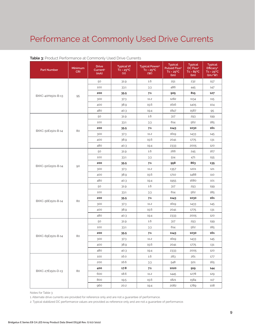| <b>Part Number</b> | Minimum<br><b>CRI</b> | <b>Drive</b><br>Current <sup>1</sup><br>(mA) | <b>Typical Vf</b><br>$Tc = 25^{\circ}C$<br>(V) | <b>Typical Power<sup>2</sup></b><br>$Tc = 25^{\circ}C$<br>(W) | <b>Typical</b><br>Pulsed Flux <sup>2</sup><br>$Tc = 25^{\circ}C$<br>(lm) | <b>Typical</b><br>DC Flux <sup>2</sup><br>$Tc = 85^{\circ}C$<br>(lm) | <b>Typical</b><br>Efficacy <sup>2</sup><br>$Tc = 25^{\circ}C$<br>(lm/W) |
|--------------------|-----------------------|----------------------------------------------|------------------------------------------------|---------------------------------------------------------------|--------------------------------------------------------------------------|----------------------------------------------------------------------|-------------------------------------------------------------------------|
|                    |                       | 50                                           | 31.9                                           | 1.6                                                           | 251                                                                      | 232                                                                  | 157                                                                     |
|                    |                       | 100                                          | 33.1                                           | 3.3                                                           | 486                                                                      | 445                                                                  | 147                                                                     |
|                    |                       | 200                                          | 35.5                                           | 7.1                                                           | 905                                                                      | 815                                                                  | 127                                                                     |
| BXKC-40H1501-B-13  | 95                    | 300                                          | 37.3                                           | 11.2                                                          | 1282                                                                     | 1134                                                                 | 115                                                                     |
|                    |                       | 400                                          | 38.9                                           | 15.6                                                          | 1616                                                                     | 1405                                                                 | 104                                                                     |
|                    |                       | 480                                          | 40.3                                           | 19.4                                                          | 1847                                                                     | 1587                                                                 | 95                                                                      |
|                    |                       | 50                                           | 31.9                                           | 1.6                                                           | 317                                                                      | 293                                                                  | 199                                                                     |
|                    |                       | 100                                          | 33.1                                           | 3.3                                                           | 614                                                                      | 562                                                                  | 185                                                                     |
|                    |                       | 200                                          | 35.5                                           | 7.1                                                           | 1143                                                                     | 1030                                                                 | 161                                                                     |
| BXKC-50E1501-B-14  | 80                    | 300                                          | 37.3                                           | 11.2                                                          | 1619                                                                     | 1433                                                                 | 145                                                                     |
|                    |                       | 400                                          | 38.9                                           | 15.6                                                          | 2041                                                                     | 1775                                                                 | 131                                                                     |
|                    |                       | 480                                          | 40.3                                           | 19.4                                                          | 2333                                                                     | 2005                                                                 | 120                                                                     |
|                    |                       | 50                                           | 31.9                                           | 1.6                                                           | 266                                                                      | 245                                                                  | 167                                                                     |
|                    | 90                    | 100                                          | 33.1                                           | 33                                                            | 514                                                                      | 471                                                                  | 155                                                                     |
|                    |                       | 200                                          | 35.5                                           | 7.1                                                           | 958                                                                      | 863                                                                  | 135                                                                     |
| BXKC-50G1501-B-14  |                       | 300                                          | 37.3                                           | 11.2                                                          | 1357                                                                     | 1201                                                                 | 121                                                                     |
|                    |                       | 400                                          | 38.9                                           | 15.6                                                          | 1710                                                                     | 1488                                                                 | 110                                                                     |
|                    |                       | 480                                          | 40.3                                           | 19.4                                                          | 1955                                                                     | 1680                                                                 | 101                                                                     |
|                    |                       | 50                                           | 31.9                                           | 1.6                                                           | 317                                                                      | 293                                                                  | 199                                                                     |
|                    |                       | 100                                          | 33.1                                           | 33                                                            | 614                                                                      | 562                                                                  | 185                                                                     |
|                    |                       | 200                                          | 35.5                                           | 7.1                                                           | 1143                                                                     | 1030                                                                 | 161                                                                     |
| BXKC-56E1501-B-14  | 80                    | 300                                          | 37.3                                           | 11.2                                                          | 1619                                                                     | 1433                                                                 | 145                                                                     |
|                    |                       | 400                                          | 38.9                                           | 15.6                                                          | 2041                                                                     | 1775                                                                 | 131                                                                     |
|                    |                       | 480                                          | 40.3                                           | 19.4                                                          | 2333                                                                     | 2005                                                                 | 120                                                                     |
|                    |                       | 50                                           | 31.9                                           | 1.6                                                           | 317                                                                      | 293<br>562                                                           | 199                                                                     |
|                    |                       | 100                                          | 33.1                                           | 33                                                            | 614                                                                      |                                                                      | 185                                                                     |
| BXKC-65E1501-B-14  | 80                    | 200                                          | 35.5                                           | 7.1                                                           | 1143                                                                     | 1030                                                                 | 161                                                                     |
|                    |                       | 300                                          | 37.3                                           | 11.2                                                          | 1619                                                                     | 1433                                                                 | 145                                                                     |
|                    |                       | 400                                          | 38.9                                           | 15.6                                                          | 2041                                                                     | 1775                                                                 | 131                                                                     |
|                    |                       | 480                                          | 40.3                                           | 19.4                                                          | 2333                                                                     | 2005                                                                 | 120                                                                     |
|                    |                       | 100                                          | 16.0                                           | 1.6                                                           | 283                                                                      | 261                                                                  | 177                                                                     |
|                    |                       | 200                                          | 16.6                                           | 3.3                                                           | 548                                                                      | 501                                                                  | 165                                                                     |
|                    |                       | 400                                          | 17.8                                           | 7.1                                                           | 1020                                                                     | 919                                                                  | 144                                                                     |
| BXKC-27E1501-D-13  | 80                    | 600                                          | 18.6                                           | 11.2                                                          | 1445                                                                     | 1278                                                                 | 129                                                                     |
|                    |                       | 800                                          | 19.5                                           | 15.6                                                          | 1821                                                                     | 1584                                                                 | 117                                                                     |
|                    |                       | 960                                          | 20.2                                           | 19.4                                                          | 2082                                                                     | 1789                                                                 | 108                                                                     |

### **Table 3:** Product Performance at Commonly Used Drive Currents

Notes for Table 3:

1. Alternate drive currents are provided for reference only and are not a guarantee of performance.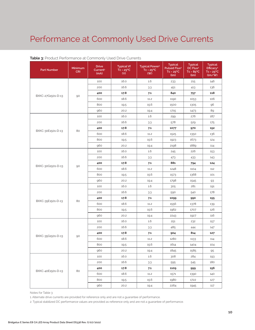| <b>Part Number</b> | Minimum<br><b>CRI</b> | <b>Drive</b><br>Current <sup>1</sup><br>(mA) | <b>Typical Vf</b><br>$Tc = 25^{\circ}C$<br>(V) | <b>Typical Power<sup>2</sup></b><br>$Tc = 25^{\circ}C$<br>(W) | <b>Typical</b><br>Pulsed Flux <sup>2</sup><br>$Tc = 25^{\circ}C$<br>(lm) | <b>Typical</b><br>DC Flux <sup>2</sup><br>$Tc = 85^{\circ}C$<br>(lm)                   | <b>Typical</b><br>Efficacy <sup>2</sup><br>$Tc = 25^{\circ}C$<br>(lm/W) |
|--------------------|-----------------------|----------------------------------------------|------------------------------------------------|---------------------------------------------------------------|--------------------------------------------------------------------------|----------------------------------------------------------------------------------------|-------------------------------------------------------------------------|
|                    |                       | 100                                          | 16.0                                           | 1.6                                                           | 233                                                                      | 215                                                                                    | 146                                                                     |
|                    |                       | 200                                          | 16.6                                           | 3.3                                                           | 451                                                                      | 413                                                                                    | 136                                                                     |
|                    |                       | 400                                          | 17.8                                           | 7.1                                                           | 840                                                                      | 757                                                                                    | 118                                                                     |
| BXKC-27G1501-D-13  | 90                    | 600                                          | 18.6                                           | 11.2                                                          | 1190                                                                     | 1053                                                                                   | 106                                                                     |
|                    |                       | 800                                          | 19.5                                           | 15.6                                                          | 1500                                                                     | 1305                                                                                   | 96                                                                      |
|                    |                       | 960                                          | 20.2                                           | 19.4                                                          | 1715                                                                     | 1473                                                                                   | 89                                                                      |
|                    |                       | 100                                          | 16.0                                           | 1.6                                                           | 299                                                                      | 276                                                                                    | 187                                                                     |
|                    |                       | 200                                          | 16.6                                           | 33                                                            | 578                                                                      | 529                                                                                    | 175                                                                     |
|                    |                       | 400                                          | 17.8                                           | 7.1                                                           | 1077                                                                     | 970                                                                                    | 152                                                                     |
| BXKC-30E1501-D-13  | 80                    | 600                                          | 18.6                                           | 11.2                                                          | 1525                                                                     | 1350                                                                                   | 136                                                                     |
|                    |                       | 800                                          | 19.5                                           | 15.6                                                          | 1923                                                                     | 1673                                                                                   | 124                                                                     |
|                    |                       | 960                                          | 20.2                                           | 19.4                                                          | 2198                                                                     | 1889                                                                                   | 114                                                                     |
|                    |                       | 100                                          | 16.0                                           | 1.6                                                           | 245                                                                      | 226                                                                                    | 153                                                                     |
|                    | 90                    | 200                                          | 16.6                                           | 3.3                                                           | 473                                                                      | 433                                                                                    | 143                                                                     |
|                    |                       | 400                                          | 17.8                                           | 7.1                                                           | 881                                                                      | 794                                                                                    | 124                                                                     |
| BXKC-30G1501-D-13  |                       | 600                                          | 18.6                                           | 11.2                                                          | 1248                                                                     | 1104                                                                                   | 112                                                                     |
|                    |                       | 800                                          | 19.5                                           | 15.6                                                          | 1573                                                                     | 1368                                                                                   | 101                                                                     |
|                    |                       | 960                                          | 20.2                                           | 19.4                                                          | 1798                                                                     | 1545                                                                                   | 93                                                                      |
|                    |                       | 100                                          | 16.0                                           | 1.6                                                           | 305                                                                      | 281                                                                                    | 191                                                                     |
|                    | 80                    | 200                                          | 16.6                                           | 3.3                                                           | 590                                                                      | 540                                                                                    | 178                                                                     |
|                    |                       | 400                                          | 17.8                                           | 7.1                                                           | 1099                                                                     | 990                                                                                    | 155                                                                     |
| BXKC-35E1501-D-13  |                       | 600                                          | 18.6                                           | 11.2                                                          | 1556                                                                     | 1378                                                                                   | 139                                                                     |
|                    |                       | 800                                          | 19.5                                           | 15.6                                                          | 1962                                                                     | 1707                                                                                   | 126                                                                     |
|                    |                       | 960                                          | 20.2                                           | 19.4                                                          | 2243                                                                     | 1927                                                                                   | 116                                                                     |
|                    |                       | 100                                          | 16.0                                           | 1.6                                                           | 251                                                                      | 232<br>444<br>814<br>1133<br>1404<br>1585<br>284<br>545<br>999<br>1390<br>1722<br>1945 | 157                                                                     |
|                    |                       | 200                                          | 16.6                                           | 3.3                                                           | 485                                                                      |                                                                                        | 147                                                                     |
|                    |                       | 400                                          | 17.8                                           | 7.1                                                           | 904                                                                      |                                                                                        | 127                                                                     |
| BXKC-35G1501-D-13  | 90                    | 600                                          | 18.6                                           | 11.2                                                          | 1280                                                                     |                                                                                        | 114                                                                     |
|                    |                       | 800                                          | 19.5                                           | 15.6                                                          | 1614                                                                     |                                                                                        | 104                                                                     |
|                    |                       | 960                                          | 20.2                                           | 19.4                                                          | 1845                                                                     |                                                                                        | 95                                                                      |
|                    |                       | 100                                          | 16.0                                           | 1.6                                                           | 308                                                                      |                                                                                        | 193                                                                     |
|                    |                       | 200                                          | 16.6                                           | 3.3                                                           | 595                                                                      |                                                                                        | 180                                                                     |
|                    |                       | 400                                          | 17.8                                           | 7.1                                                           | 1109                                                                     |                                                                                        | 156                                                                     |
| BXKC-40E1501-D-13  | 80                    | 600                                          | 18.6                                           | 11.2                                                          | 1571                                                                     |                                                                                        | 140                                                                     |
|                    |                       | 800                                          | 19.5                                           | 15.6                                                          | 1980                                                                     |                                                                                        | 127                                                                     |
|                    |                       | 960                                          | 20.2                                           | 19.4                                                          | 2264                                                                     |                                                                                        | 117                                                                     |

### **Table 3:** Product Performance at Commonly Used Drive Currents

Notes for Table 3:

1. Alternate drive currents are provided for reference only and are not a guarantee of performance.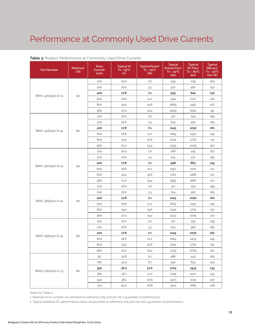| <b>Part Number</b> | Minimum<br><b>CRI</b> | <b>Drive</b><br>Current <sup>1</sup><br>(mA) | <b>Typical Vf</b><br>$Tc = 25^{\circ}C$<br>(V) | <b>Typical Power<sup>2</sup></b><br>$Tc = 25^{\circ}C$<br>(W) | <b>Typical</b><br>Pulsed Flux <sup>2</sup><br>$Tc = 25^{\circ}C$<br>(lm) | <b>Typical</b><br>DC Flux <sup>2</sup><br>$Tc = 85^{\circ}C$<br>(lm) | <b>Typical</b><br>Efficacy <sup>2</sup><br>$Tc = 25^{\circ}C$<br>(lm/W) |
|--------------------|-----------------------|----------------------------------------------|------------------------------------------------|---------------------------------------------------------------|--------------------------------------------------------------------------|----------------------------------------------------------------------|-------------------------------------------------------------------------|
|                    |                       | 100                                          | 16.0                                           | 1.6                                                           | 259                                                                      | 239                                                                  | 163                                                                     |
|                    |                       | 200                                          | 16.6                                           | 3.3                                                           | 502                                                                      | 460                                                                  | 152                                                                     |
|                    |                       | 400                                          | 17.8                                           | 7.1                                                           | 935                                                                      | 842                                                                  | 132                                                                     |
| BXKC-40G1501-D-13  | 90                    | 600                                          | 18.6                                           | 11.2                                                          | 1324                                                                     | 1172                                                                 | 118                                                                     |
|                    |                       | 800                                          | 19.5                                           | 15.6                                                          | 1669                                                                     | 1452                                                                 | 107                                                                     |
|                    |                       | 960                                          | 20.2                                           | 19.4                                                          | 1909                                                                     | 1640                                                                 | 99                                                                      |
|                    |                       | 100                                          | 16.0                                           | 1.6                                                           | 317                                                                      | 293                                                                  | 199                                                                     |
|                    |                       | 200                                          | 16.6                                           | 33                                                            | 614                                                                      | 562                                                                  | 185                                                                     |
|                    |                       | 400                                          | 17.8                                           | 7.1                                                           | 1143                                                                     | 1030                                                                 | 161                                                                     |
| BXKC-50E1501-D-14  | 80                    | 600                                          | 18.6                                           | 11.2                                                          | 1619                                                                     | 1433                                                                 | 145                                                                     |
|                    |                       | 800                                          | 19.5                                           | 15.6                                                          | 2041                                                                     | 1775                                                                 | 131                                                                     |
|                    |                       | 960                                          | 20.2                                           | 19.4                                                          | 2333                                                                     | 2005                                                                 | 120                                                                     |
|                    |                       | 100                                          | 16.0                                           | 1.6                                                           | 266                                                                      | 245                                                                  | 167                                                                     |
|                    | 90                    | 200                                          | 16.6                                           | 3.3                                                           | 514                                                                      | 471                                                                  | 155                                                                     |
|                    |                       | 400                                          | 17.8                                           | 7.1                                                           | 958                                                                      | 863                                                                  | 135                                                                     |
| BXKC-50G1501-D-14  |                       | 600                                          | 18.6                                           | 11.2                                                          | 1357                                                                     | 1201                                                                 | 121                                                                     |
|                    |                       | 800                                          | 19.5                                           | 15.6                                                          | 1710                                                                     | 1488                                                                 | 110                                                                     |
|                    |                       | 960                                          | 20.2                                           | 19.4                                                          | 1955                                                                     | 1680                                                                 | 101                                                                     |
|                    |                       | 100                                          | 16.0                                           | 1.6                                                           | 317                                                                      | 293                                                                  | 199                                                                     |
|                    |                       | 200                                          | 16.6                                           | 3.3                                                           | 614                                                                      | 562                                                                  | 185                                                                     |
|                    |                       | 400                                          | 17.8                                           | 7.1                                                           | 1143                                                                     | 1030                                                                 | 161                                                                     |
| BXKC-56E1501-D-14  | 80                    | 600                                          | 18.6                                           | 11.2                                                          | 1619                                                                     | 1433                                                                 | 145                                                                     |
|                    |                       | 800                                          | 19.5                                           | 15.6                                                          | 2041                                                                     | 1775                                                                 | 131                                                                     |
|                    |                       | 960                                          | 20.2                                           | 19.4                                                          | 2333                                                                     | 2005                                                                 | 120                                                                     |
|                    |                       | 100                                          | 16.0                                           | 1.6                                                           | 317                                                                      | 293                                                                  | 199                                                                     |
|                    |                       | 200                                          | 16.6                                           | 3.3                                                           | 614                                                                      | 562                                                                  | 185                                                                     |
|                    | 80                    | 400                                          | 17.8                                           | 7.1                                                           | 1143                                                                     | 1030                                                                 | 161                                                                     |
| BXKC-65E1501-D-14  |                       | 600                                          | 18.6                                           | 11.2                                                          | 1619                                                                     | 1433                                                                 | 145                                                                     |
|                    |                       | 800                                          | 19.5                                           | 15.6                                                          | 2041                                                                     | 1775                                                                 | 131                                                                     |
|                    |                       | 960                                          | 20.2                                           | 19.4                                                          | 2333                                                                     | 2005                                                                 | 120                                                                     |
|                    |                       | 90                                           | 32.8                                           | 3.0                                                           | 486                                                                      | 443                                                                  | 165                                                                     |
|                    |                       | 180                                          | 34.0                                           | 6.1                                                           | 942                                                                      | 853                                                                  | 154                                                                     |
|                    |                       | 350                                          | 36.0                                           | 12.6                                                          | 1704                                                                     | 1534                                                                 | 135                                                                     |
| BXKC-27E2000-C-13  | 80                    | 360                                          | 36.1                                           | 13.0                                                          | 1749                                                                     | 1572                                                                 | 135                                                                     |
|                    |                       | 540                                          | 38.1                                           | 20.6                                                          | 2473                                                                     | 2179                                                                 | 120                                                                     |
|                    |                       | 720                                          | 40.0                                           | 28.8                                                          | 3110                                                                     | 2681                                                                 | 108                                                                     |

### **Table 3:** Product Performance at Commonly Used Drive Currents

Notes for Table 3:

1. Alternate drive currents are provided for reference only and are not a guarantee of performance.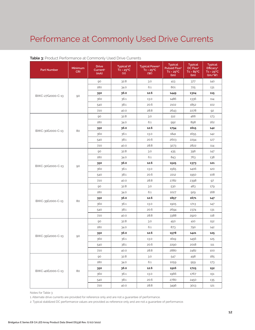| <b>Part Number</b> | Minimum<br><b>CRI</b> | <b>Drive</b><br>Current <sup>1</sup><br>(mA) | <b>Typical Vf</b><br>$Tc = 25^{\circ}C$<br>(V) | <b>Typical Power<sup>2</sup></b><br>$Tc = 25^{\circ}C$<br>(W) | <b>Typical</b><br>Pulsed Flux <sup>2</sup><br>$Tc = 25^{\circ}C$<br>(lm) | <b>Typical</b><br>DC Flux <sup>2</sup><br>$Tc = 85^{\circ}C$<br>(lm) | <b>Typical</b><br>Efficacy <sup>2</sup><br>$Tc = 25^{\circ}C$<br>(lm/W) |
|--------------------|-----------------------|----------------------------------------------|------------------------------------------------|---------------------------------------------------------------|--------------------------------------------------------------------------|----------------------------------------------------------------------|-------------------------------------------------------------------------|
|                    |                       | 90                                           | 32.8                                           | 3.0                                                           | 413                                                                      | 377                                                                  | 140                                                                     |
|                    |                       | 180                                          | 34.0                                           | 6.1                                                           | 801                                                                      | 725                                                                  | 131                                                                     |
|                    |                       | 350                                          | 36.0                                           | 12.6                                                          | 1449                                                                     | 1304                                                                 | 115                                                                     |
| BXKC-27G2000-C-13  | 90                    | 360                                          | 36.1                                           | 13.0                                                          | 1486                                                                     | 1336                                                                 | 114                                                                     |
|                    |                       | 540                                          | 38.1                                           | 20.6                                                          | 2102                                                                     | 1852                                                                 | 102                                                                     |
|                    |                       | 720                                          | 40.0                                           | 28.8                                                          | 2643                                                                     | 2278                                                                 | 92                                                                      |
|                    |                       | 90                                           | 32.8                                           | 3.0                                                           | 512                                                                      | 466                                                                  | 173                                                                     |
|                    |                       | 180                                          | 34.0                                           | 6.1                                                           | 992                                                                      | 898                                                                  | 162                                                                     |
|                    |                       | 350                                          | 36.0                                           | 12.6                                                          | 1794                                                                     | 1615                                                                 | 142                                                                     |
| BXKC-30E2000-C-13  | 80                    | 360                                          | 36.1                                           | 13.0                                                          | 1841                                                                     | 1655                                                                 | 142                                                                     |
|                    |                       | 540                                          | 38.1                                           | 20.6                                                          | 2603                                                                     | 2294                                                                 | 127                                                                     |
|                    |                       | 720                                          | 40.0                                           | 28.8                                                          | 3273                                                                     | 2822                                                                 | 114                                                                     |
|                    |                       | 90                                           | 32.8                                           | 3.0                                                           | 435                                                                      | 396                                                                  | 147                                                                     |
|                    | 90                    | 180                                          | 34.0                                           | 6.1                                                           | 843                                                                      | 763                                                                  | 138                                                                     |
|                    |                       | 350                                          | 36.0                                           | 12.6                                                          | 1525                                                                     | 1373                                                                 | 121                                                                     |
| BXKC-30G2000-C-13  |                       | 360                                          | 36.1                                           | 13.0                                                          | 1565                                                                     | 1406                                                                 | 120                                                                     |
|                    |                       | 540                                          | 38.1                                           | 20.6                                                          | 2212                                                                     | 1950                                                                 | 108                                                                     |
|                    |                       | 720                                          | 40.0                                           | 28.8                                                          | 2782                                                                     | 2398                                                                 | 97                                                                      |
|                    |                       | 90                                           | 32.8                                           | 3.0                                                           | 530                                                                      | 483                                                                  | 179                                                                     |
|                    |                       | 180                                          | 34.0                                           | 6.1                                                           | 1027                                                                     | 929                                                                  | 168                                                                     |
|                    |                       | 350                                          | 36.0                                           | 12.6                                                          | 1857                                                                     | 1671                                                                 | 147                                                                     |
| BXKC-35E2000-C-13  | 80                    | 360                                          | 36.1                                           | 13.0                                                          | 1905                                                                     | 1713                                                                 | 147                                                                     |
|                    |                       | 540                                          | 38.1                                           | 20.6                                                          | 2694                                                                     | 2374                                                                 | 131                                                                     |
|                    |                       | 720                                          | 40.0                                           | 28.8                                                          | 3388                                                                     | 2920                                                                 | 118                                                                     |
|                    |                       | 90                                           | 32.8                                           | 3.0                                                           | 450                                                                      | 410<br>790<br>1421<br>1456<br>2018<br>2482<br>498                    | 152                                                                     |
|                    |                       | 180                                          | 34.0                                           | 6.1                                                           | 873                                                                      |                                                                      | 142                                                                     |
|                    |                       | 350                                          | 36.0                                           | 12.6                                                          | 1578                                                                     |                                                                      | 125                                                                     |
| BXKC-35G2000-C-13  | 90                    | 360                                          | 36.1                                           | 13.0                                                          | 1619                                                                     |                                                                      | 125                                                                     |
|                    |                       | 540                                          | 38.1                                           | 20.6                                                          | 2290                                                                     |                                                                      | 111                                                                     |
|                    |                       | 720                                          | 40.0                                           | 28.8                                                          | 2880                                                                     |                                                                      | 100                                                                     |
|                    |                       | 90                                           | 32.8                                           | 3.0                                                           | 547                                                                      |                                                                      | 185                                                                     |
|                    |                       | 180                                          | 34.0                                           | 6.1                                                           | 1059                                                                     | 959                                                                  | 173                                                                     |
|                    |                       | 350                                          | 36.0                                           | 12.6                                                          | 1916                                                                     | 1725                                                                 | 152                                                                     |
| BXKC-40E2000-C-13  | 80                    | 360                                          | 36.1                                           | 13.0                                                          | 1966                                                                     | 1767                                                                 | 151                                                                     |
|                    |                       | 540                                          | 38.1                                           | 20.6                                                          | 2780                                                                     | 2450                                                                 | 135                                                                     |
|                    |                       | 720                                          | 40.0                                           | 28.8                                                          | 3496                                                                     | 3013                                                                 | 121                                                                     |

### **Table 3:** Product Performance at Commonly Used Drive Currents

Notes for Table 3:

1. Alternate drive currents are provided for reference only and are not a guarantee of performance.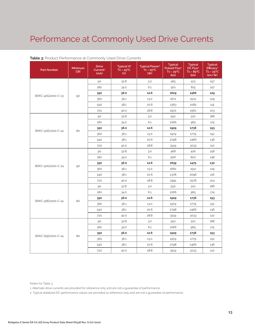| <b>Part Number</b> | <b>Minimum</b><br><b>CRI</b> | <b>Drive</b><br>Current <sup>1</sup><br>(mA) | <b>Typical Vf</b><br>$Tc = 25^{\circ}C$<br>(V) | <b>Typical Power<sup>2</sup></b><br>$Tc = 25^{\circ}C$<br>(W) | <b>Typical</b><br>Pulsed Flux <sup>2</sup><br>$Tc = 25^{\circ}C$<br>(lm) | <b>Typical</b><br>DC Flux <sup>2</sup><br>$Tc = 85^{\circ}C$<br>(lm) | <b>Typical</b><br>Efficacy <sup>2</sup><br>$Tc = 25^{\circ}C$<br>(lm/W) |
|--------------------|------------------------------|----------------------------------------------|------------------------------------------------|---------------------------------------------------------------|--------------------------------------------------------------------------|----------------------------------------------------------------------|-------------------------------------------------------------------------|
|                    | 90                           | 90                                           | 32.8                                           | 3.0                                                           | 465                                                                      | 423                                                                  | 157                                                                     |
|                    |                              | 180                                          | 34.0                                           | 6.1                                                           | 901                                                                      | 815                                                                  | 147                                                                     |
|                    |                              | 350                                          | 36.0                                           | 12.6                                                          | 1629                                                                     | 1466                                                                 | 129                                                                     |
| BXKC-40G2000-C-13  |                              | 360                                          | 36.1                                           | 13.0                                                          | 1671                                                                     | 1502                                                                 | 129                                                                     |
|                    |                              | 540                                          | 38.1                                           | 20.6                                                          | 2363                                                                     | 2082                                                                 | 115                                                                     |
|                    |                              | 720                                          | 40.0                                           | 28.8                                                          | 2972                                                                     | 2561                                                                 | 103                                                                     |
|                    |                              | 90                                           | 32.8                                           | 3.0                                                           | 550                                                                      | 501                                                                  | 186                                                                     |
|                    |                              | 180                                          | 34.0                                           | 6.1                                                           | 1066                                                                     | 965                                                                  | 174                                                                     |
|                    |                              | 350                                          | 36.0                                           | 12.6                                                          | 1929                                                                     | 1736                                                                 | 153                                                                     |
| BXKC-50E2000-C-14  | 80                           | 360                                          | 36.1                                           | 13.0                                                          | 1979                                                                     | 1779                                                                 | 152                                                                     |
|                    |                              | 540                                          | 38.1                                           | 20.6                                                          | 2798                                                                     | 2466                                                                 | 136                                                                     |
|                    |                              | 720                                          | 40.0                                           | 28.8                                                          | 3519                                                                     | 3033                                                                 | 122                                                                     |
|                    | 90                           | 90                                           | 32.8                                           | 3.0                                                           | 468                                                                      | 426                                                                  | 158                                                                     |
|                    |                              | 180                                          | 34.0                                           | 6.1                                                           | 906                                                                      | 820                                                                  | 148                                                                     |
| BXKC-50G2000-C-14  |                              | 350                                          | 36.0                                           | 12.6                                                          | 1639                                                                     | 1475                                                                 | 130                                                                     |
|                    |                              | 360                                          | 36.1                                           | 13.0                                                          | 1682                                                                     | 1512                                                                 | 129                                                                     |
|                    |                              | 540                                          | 38.1                                           | 20.6                                                          | 2378                                                                     | 2096                                                                 | 116                                                                     |
|                    |                              | 720                                          | 40.0                                           | 28.8                                                          | 2991                                                                     | 2578                                                                 | 104                                                                     |
|                    | 80                           | 90                                           | 32.8                                           | 3.0                                                           | 550                                                                      | 501                                                                  | 186                                                                     |
|                    |                              | 180                                          | 34.0                                           | 6.1                                                           | 1066                                                                     | 965                                                                  | 174                                                                     |
| BXKC-56E2000-C-14  |                              | 350                                          | 36.0                                           | 12.6                                                          | 1929                                                                     | 1736                                                                 | 153                                                                     |
|                    |                              | 360                                          | 36.1                                           | 13.0                                                          | 1979                                                                     | 1779                                                                 | 152                                                                     |
|                    |                              | 540                                          | 38.1                                           | 20.6                                                          | 2798                                                                     | 2466                                                                 | 136                                                                     |
|                    |                              | 720                                          | 40.0                                           | 28.8                                                          | 3519                                                                     | 3033                                                                 | 122                                                                     |
|                    | 80                           | 90                                           | 32.8                                           | 3.0                                                           | 550                                                                      | 501                                                                  | 186                                                                     |
|                    |                              | 180                                          | 34.0                                           | 6.1                                                           | 1066                                                                     | 965                                                                  | 174                                                                     |
|                    |                              | 350                                          | 36.0                                           | 12.6                                                          | 1929                                                                     | 1736                                                                 | 153                                                                     |
| BXKC-65E2000-C-14  |                              | 360                                          | 36.1                                           | 13.0                                                          | 1979                                                                     | 1779                                                                 | 152                                                                     |
|                    |                              | 540                                          | 38.1                                           | 20.6                                                          | 2798                                                                     | 2466                                                                 | 136                                                                     |
|                    |                              | 720                                          | 40.0                                           | 28.8                                                          | 3519                                                                     | 3033                                                                 | 122                                                                     |

### **Table 3:** Product Performance at Commonly Used Drive Currents

Notes for Table 3:

1. Alternate drive currents are provided for reference only and are not a guarantee of performance.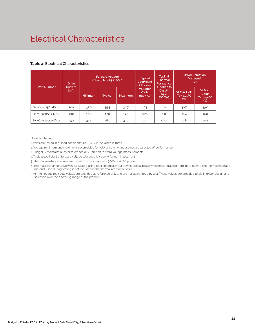# Electrical Characteristics

#### **Table 4: Electrical Characteristics**

| <b>Part Number</b> | <b>Drive</b>    | <b>Forward Voltage</b><br>Pulsed, Tc = 25°C (V)1,2,3 |                |         | <b>Typical</b><br>Coefficient<br>of Forward | <b>Typical</b><br><b>Thermal</b><br>Resistance        | <b>Driver Selection</b><br>Voltages <sup>6</sup><br>(V)      |                                                            |
|--------------------|-----------------|------------------------------------------------------|----------------|---------|---------------------------------------------|-------------------------------------------------------|--------------------------------------------------------------|------------------------------------------------------------|
|                    | Current<br>(mA) | <b>Minimum</b>                                       | <b>Typical</b> | Maximum | Voltage <sup>4</sup><br>Vf/Tc<br>(mV/C)     | Junction to<br>Case <sup>5.6</sup><br>$Rj-c$<br>(C/W) | Vf Min. Hot <sup>7</sup><br>$Tc = 105$ <sup>o</sup> C<br>(V) | Vf Max.<br>Cold <sup>7</sup><br>$Tc = -40^{\circ}C$<br>(V) |
| BXKC-xxx150x-B-1x  | 200             | 32.0                                                 | 35.5           | 38.7    | 10.5                                        | 1.0                                                   | 30.7                                                         | 39.6                                                       |
| BXKC-xxx150x-D-1x  | 400             | 16.0                                                 | 17.8           | 19.3    | 5.25                                        | 1.0                                                   | 15.4                                                         | 19.8                                                       |
| BXKC-xxx2000-C-1x  | 350             | 32.4                                                 | 36.0           | 39.2    | 13.7                                        | 0.57                                                  | 31.8                                                         | 40.2                                                       |

Notes for Table 4:

1. Parts are tested in pulsed conditions, Tc = 25°C. Pulse width is 10ms.

2. Voltage minimum and maximum are provided for reference only and are not a guarantee of performance.

3. Bridgelux maintains a tester tolerance of ± 0.10V on forward voltage measurements.

4. Typical coefficient of forward voltage tolerance is ± 0.1mV for nominal current.

5. Thermal resistance values are based from test data of a 3000K 80 CRI product.

6. Thermal resistance value was calculated using total electrical input power; optical power was not subtracted from input power. The thermal interface material used during testing is not included in the thermal resistance value.

7. Vf min hot and max cold values are provided as reference only and are not guaranteed by test. These values are provided to aid in driver design and selection over the operating range of the product.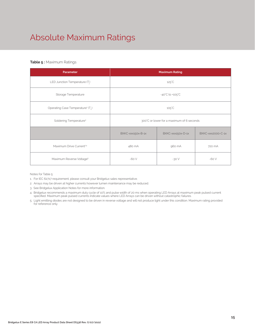# Absolute Maximum Ratings

### **Table 5 :** Maximum Ratings

| Parameter                                                 | <b>Maximum Rating</b>                     |                   |                   |  |  |
|-----------------------------------------------------------|-------------------------------------------|-------------------|-------------------|--|--|
| LED Junction Temperature (T.)                             | $125^{\circ}$ C                           |                   |                   |  |  |
| Storage Temperature                                       | $-40^{\circ}$ C to $+105^{\circ}$ C       |                   |                   |  |  |
| Operating Case Temperature <sup>1</sup> (T <sub>,</sub> ) | $105^{\circ}$ C                           |                   |                   |  |  |
| Soldering Temperature <sup>3</sup>                        | 300°C or lower for a maximum of 6 seconds |                   |                   |  |  |
|                                                           | BXKC-xxx150x-B-1x                         | BXKC-xxx150x-D-1x | BXKC-xxx2000-C-1x |  |  |
| Maximum Drive Current <sup>2,4</sup>                      | 480 mA<br>960 mA                          |                   | 720 mA            |  |  |
| Maximum Reverse Voltage <sup>5</sup>                      | $-60V$                                    | $-30V$            | $-60V$            |  |  |

Notes for Table 5:

1. For IEC 62717 requirement, please consult your Bridgelux sales representative.

2. Arrays may be driven at higher currents however lumen maintenance may be reduced.

3. See Bridgelux Application Notes for more information.

4. Bridgelux recommends a maximum duty cycle of 10% and pulse width of 20 ms when operating LED Arrays at maximum peak pulsed current specified. Maximum peak pulsed currents indicate values where LED Arrays can be driven without catastrophic failures.

5. Light emitting diodes are not designed to be driven in reverse voltage and will not produce light under this condition. Maximum rating provided for reference only.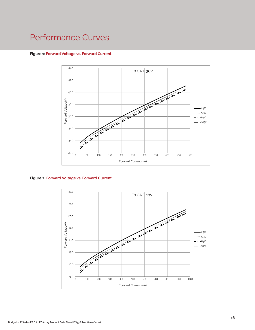#### **Figure 1: Forward Voltage vs. Forward Current**



**Figure 2: Forward Voltage vs. Forward Current**

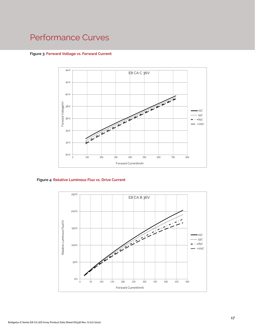#### **Figure 3: Forward Voltage vs. Forward Current**



### **Figure 4: Relative Luminous Flux vs. Drive Current**

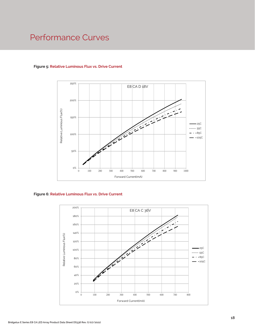## **Figure 5: Relative Luminous Flux vs. Drive Current**



**Figure 6: Relative Luminous Flux vs. Drive Current**

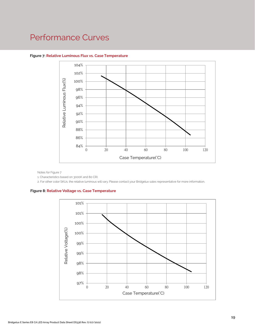

#### **Figure 7: Relative Luminous Flux vs. Case Temperature**

Notes for Figure 7

1. Characteristics based on 3000K and 80 CRI.

2. For other color SKUs, the relative luminous will vary. Please contact your Bridgelux sales representative for more information.

#### **Figure 8: Relative Voltage vs. Case Temperature**

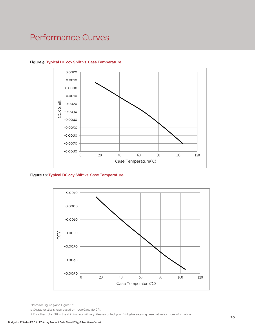

## **Figure 9: Typical DC ccx Shift vs. Case Temperature**

**Figure 10: Typical DC ccy Shift vs. Case Temperature**



Notes for Figure 9 and Figure 10:

1. Characteristics shown based on 3000K and 80 CRI.

2. For other color SKUs, the shift in color will vary. Please contact your Bridgelux sales representative for more information.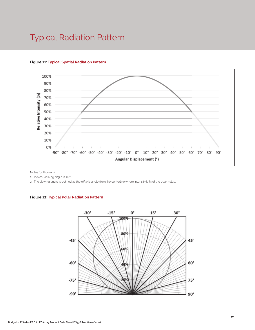# Typical Radiation Pattern



## **Figure 11: Typical Spatial Radiation Pattern**

Notes for Figure 11:

1. Typical viewing angle is 120°.

2. The viewing angle is defined as the off axis angle from the centerline where intensity is ½ of the peak value.

### **Figure 12: Typical Polar Radiation Pattern**

.

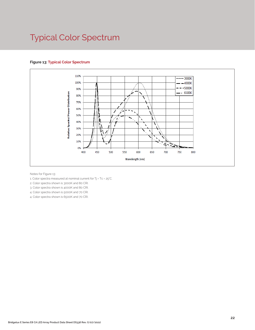# Typical Color Spectrum

## **Figure 13: Typical Color Spectrum**



Notes for Figure 13:

1. Color spectra measured at nominal current for Tj = Tc = 25°C.

2. Color spectra shown is 3000K and 80 CRI.

3. Color spectra shown is 4000K and 80 CRI.

4. Color spectra shown is 5000K and 70 CRI.

4. Color spectra shown is 6500K and 70 CRI.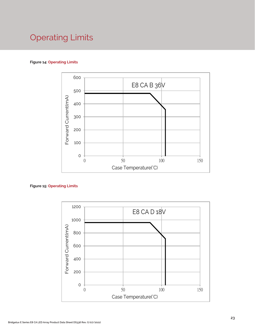# Operating Limits

## **Figure 14: Operating Limits**



## **Figure 15: Operating Limits**

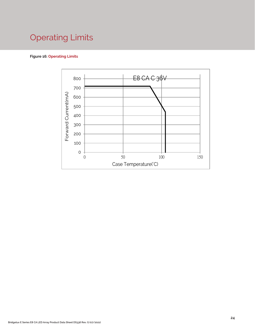# Operating Limits

## **Figure 16: Operating Limits**

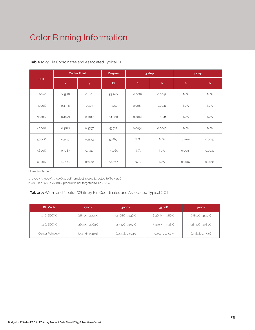# Color Binning Information

| <b>CCT</b> | <b>Center Point</b> |        | Degree | 3 step |             | 4 step       |             |
|------------|---------------------|--------|--------|--------|-------------|--------------|-------------|
|            | $\mathsf{x}$        | y      | (°)    | a      | $\mathsf b$ | $\mathsf{a}$ | $\mathbf b$ |
| 2700K      | 0.4578              | 0.4101 | 53.700 | 0.0081 | 0.0042      | N/A          | N/A         |
| 3000K      | 0.4338              | 0.403  | 53.217 | 0.0083 | 0.0041      | N/A          | N/A         |
| 3500K      | 0.4073              | 0.3917 | 54.000 | 0.0093 | 0.0041      | N/A          | N/A         |
| 4000K      | 0.3818              | 0.3797 | 53.717 | 0.0094 | 0.0040      | N/A          | N/A         |
| 5000K      | 0.3447              | 0.3553 | 59.617 | N/A    | N/A         | 0.0110       | 0.0047      |
| 5600K      | 0.3287              | 0.3417 | 59.060 | N/A    | N/A         | 0.0099       | 0.0042      |
| 6500K      | 0.3123              | 0.3282 | 58.567 | N/A    | N/A         | 0.0089       | 0.0038      |

## **Table 6:** xy Bin Coordinates and Associated Typical CCT

Notes for Table 6:

1. 2700K \3000K\3500K\4000K product is cold targeted to Tc = 25°C

2. 5000K \5600K\6500K product is hot targeted to Tc = 85°C

## **Table 7:** Warm and Neutral White xy Bin Coordinates and Associated Typical CCT

| <b>Bin Code</b>    | 2700K            | 3000K            | 3500K            | 4000K            |
|--------------------|------------------|------------------|------------------|------------------|
| 13 (3 SDCM)        | (2651K - 2794K)  | (2968K - 3136K)  | (3369K - 3586K)  | (3851K - 4130K)  |
| 12 (2 SDCM)        | (2674K - 2769K)  | (2995K - 3107K)  | (3404K - 3548K)  | (3895K - 4081K)  |
| Center Point (x,y) | (0.4578, 0.4101) | (0.4338, 0.403)1 | (0.4073, 0.3917) | (0.3818, 0.3797) |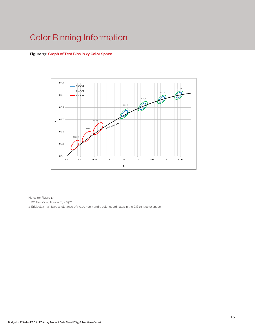# Color Binning Information

### **Figure 17: Graph of Test Bins in xy Color Space**



Notes for Figure 17:

1. DC Test Conditions at T $_{\rm c}$  = 85°C.

2. Bridgelux maintains a tolerance of ± 0.007 on x and y color coordinates in the CIE 1931 color space.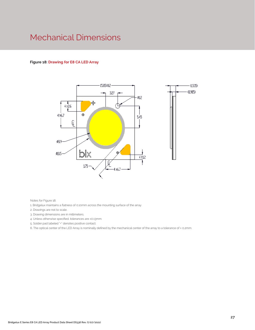# Mechanical Dimensions

### **Figure 18: Drawing for E8 CA LED Array**



Notes for Figure 18:

1. Bridgelux maintains a flatness of 0.10mm across the mounting surface of the array

- 2. Drawings are not to scale.
- 3. Drawing dimensions are in millimeters.
- 4. Unless otherwise specified, tolerances are ±0.13mm.

5. Solder pad labeled "+" denotes positive contact.

6. The optical center of the LED Array is nominally defined by the mechanical center of the array to a tolerance of ± 0.2mm.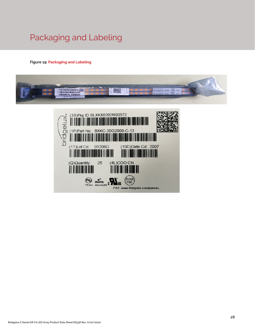# Packaging and Labeling

## **Figure 19: Packaging and Labeling**



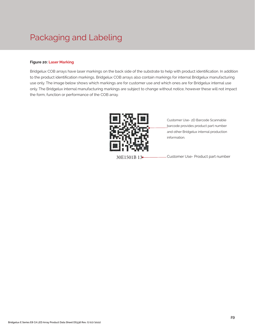# Packaging and Labeling

### **Figure 20: Laser Marking**

Bridgelux COB arrays have laser markings on the back side of the substrate to help with product identification. In addition to the product identification markings, Bridgelux COB arrays also contain markings for internal Bridgelux manufacturing use only. The image below shows which markings are for customer use and which ones are for Bridgelux internal use only. The Bridgelux internal manufacturing markings are subject to change without notice, however these will not impact the form, function or performance of the COB array.



Customer Use- 2D Barcode Scannable barcode provides product part number and other Bridgelux internal production information.

30E1501B 13 - Customer Use- Product part number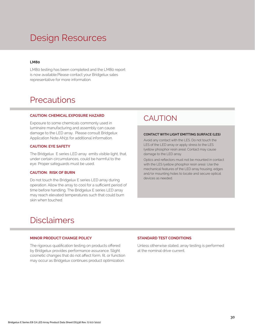# Design Resources

### **LM80**

LM80 testing has been completed and the LM80 report is now available.Please contact your Bridgelux sales representative for more information.

## **Precautions**

#### **CAUTION: CHEMICAL EXPOSURE HAZARD**

Exposure to some chemicals commonly used in luminaire manufacturing and assembly can cause damage to the LED array. Please consult Bridgelux Application Note AN31 for additional information.

#### **CAUTION: EYE SAFETY**

The Bridgelux E series LED array emits visible light, that, under certain circumstances, could be harmful to the eye. Proper safeguards must be used.

### **CAUTION: RISK OF BURN**

Do not touch the Bridgelux E series LED array during operation. Allow the array to cool for a sufficient period of time before handling. The Bridgelux E series LED array may reach elevated temperatures such that could burn skin when touched

## **CAUTION**

#### **CONTACT WITH LIGHT EMITTING SURFACE (LES)**

Avoid any contact with the LES. Do not touch the LES of the LED array or apply stress to the LES (yellow phosphor resin area). Contact may cause damage to the LED array.

Optics and reflectors must not be mounted in contact with the LES (yellow phosphor resin area). Use the mechanical features of the LED array housing, edges and/or mounting holes to locate and secure optical devices as needed.

## Disclaimers

#### **MINOR PRODUCT CHANGE POLICY**

The rigorous qualification testing on products offered by Bridgelux provides performance assurance. Slight cosmetic changes that do not affect form, fit, or function may occur as Bridgelux continues product optimization.

#### **STANDARD TEST CONDITIONS**

Unless otherwise stated, array testing is performed at the nominal drive current.